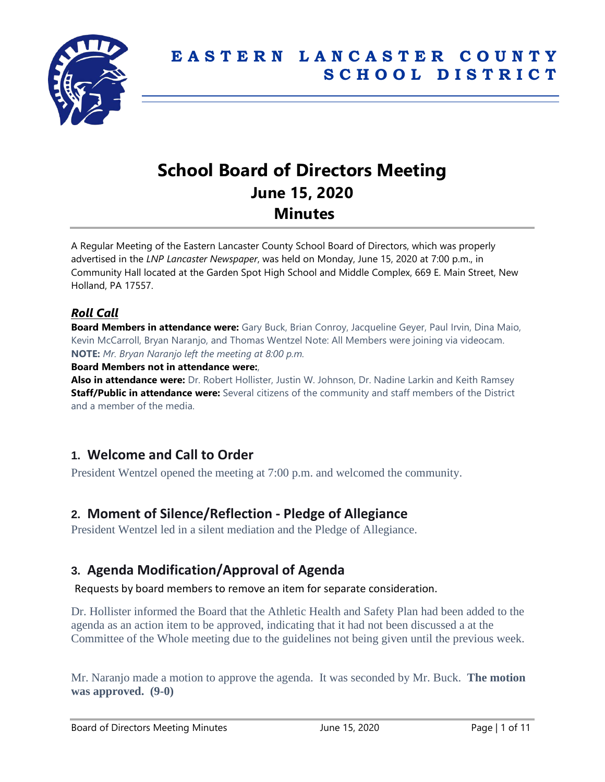

# **School Board of Directors Meeting June 15, 2020 Minutes**

A Regular Meeting of the Eastern Lancaster County School Board of Directors, which was properly advertised in the *LNP Lancaster Newspaper*, was held on Monday, June 15, 2020 at 7:00 p.m., in Community Hall located at the Garden Spot High School and Middle Complex, 669 E. Main Street, New Holland, PA 17557.

### *Roll Call*

**Board Members in attendance were:** Gary Buck, Brian Conroy, Jacqueline Geyer, Paul Irvin, Dina Maio, Kevin McCarroll, Bryan Naranjo, and Thomas Wentzel Note: All Members were joining via videocam. **NOTE:** *Mr. Bryan Naranjo left the meeting at 8:00 p.m.*

**Board Members not in attendance were:**,

**Also in attendance were:** Dr. Robert Hollister, Justin W. Johnson, Dr. Nadine Larkin and Keith Ramsey **Staff/Public in attendance were:** Several citizens of the community and staff members of the District and a member of the media.

### **1. Welcome and Call to Order**

President Wentzel opened the meeting at 7:00 p.m. and welcomed the community.

### **2. Moment of Silence/Reflection - Pledge of Allegiance**

President Wentzel led in a silent mediation and the Pledge of Allegiance.

### **3. Agenda Modification/Approval of Agenda**

Requests by board members to remove an item for separate consideration.

Dr. Hollister informed the Board that the Athletic Health and Safety Plan had been added to the agenda as an action item to be approved, indicating that it had not been discussed a at the Committee of the Whole meeting due to the guidelines not being given until the previous week.

Mr. Naranjo made a motion to approve the agenda. It was seconded by Mr. Buck. **The motion was approved. (9-0)**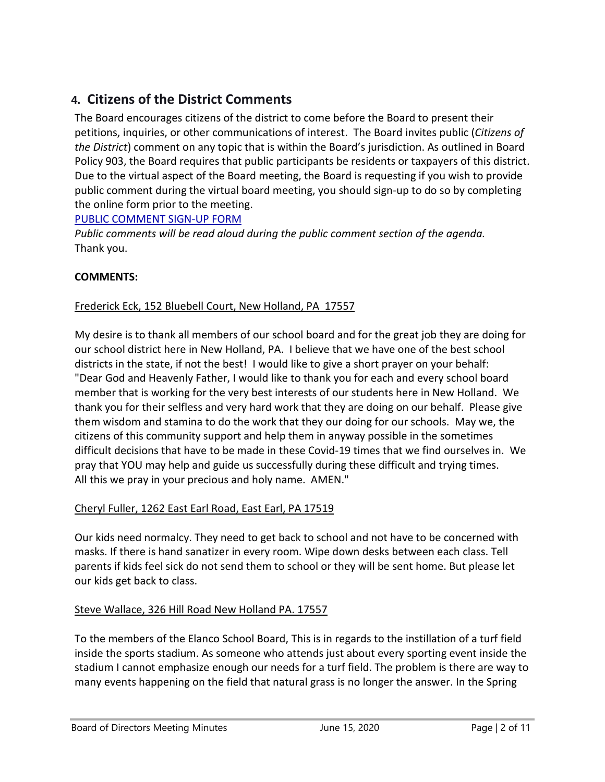# **4. Citizens of the District Comments**

The Board encourages citizens of the district to come before the Board to present their petitions, inquiries, or other communications of interest. The Board invites public (*Citizens of the District*) comment on any topic that is within the Board's jurisdiction. As outlined in Board Policy 903, the Board requires that public participants be residents or taxpayers of this district. Due to the virtual aspect of the Board meeting, the Board is requesting if you wish to provide public comment during the virtual board meeting, you should sign-up to do so by completing the online form prior to the meeting.

#### [PUBLIC COMMENT SIGN-UP FORM](https://forms.gle/zDXXoX8rZQUxt1Ap6)

*Public comments will be read aloud during the public comment section of the agenda.* Thank you.

#### **COMMENTS:**

#### Frederick Eck, 152 Bluebell Court, New Holland, PA 17557

My desire is to thank all members of our school board and for the great job they are doing for our school district here in New Holland, PA. I believe that we have one of the best school districts in the state, if not the best! I would like to give a short prayer on your behalf: "Dear God and Heavenly Father, I would like to thank you for each and every school board member that is working for the very best interests of our students here in New Holland. We thank you for their selfless and very hard work that they are doing on our behalf. Please give them wisdom and stamina to do the work that they our doing for our schools. May we, the citizens of this community support and help them in anyway possible in the sometimes difficult decisions that have to be made in these Covid-19 times that we find ourselves in. We pray that YOU may help and guide us successfully during these difficult and trying times. All this we pray in your precious and holy name. AMEN."

#### Cheryl Fuller, 1262 East Earl Road, East Earl, PA 17519

Our kids need normalcy. They need to get back to school and not have to be concerned with masks. If there is hand sanatizer in every room. Wipe down desks between each class. Tell parents if kids feel sick do not send them to school or they will be sent home. But please let our kids get back to class.

#### Steve Wallace, 326 Hill Road New Holland PA. 17557

To the members of the Elanco School Board, This is in regards to the instillation of a turf field inside the sports stadium. As someone who attends just about every sporting event inside the stadium I cannot emphasize enough our needs for a turf field. The problem is there are way to many events happening on the field that natural grass is no longer the answer. In the Spring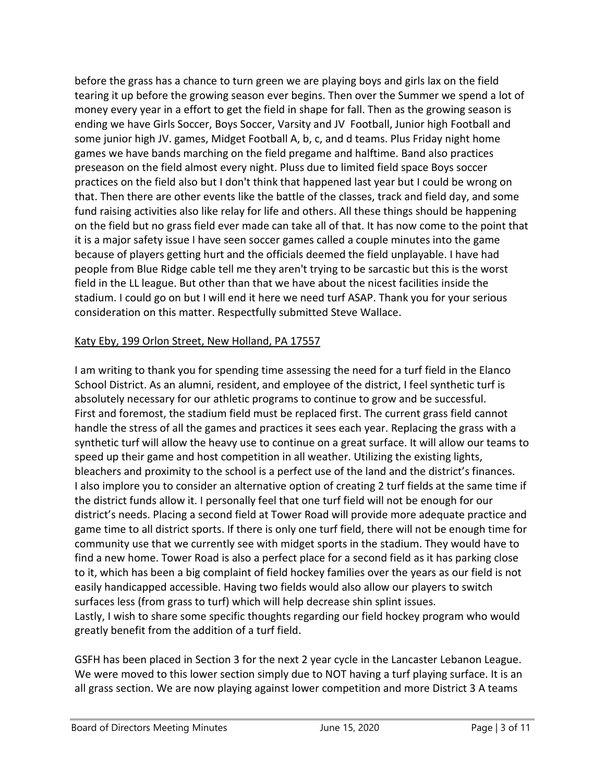before the grass has a chance to turn green we are playing boys and girls lax on the field tearing it up before the growing season ever begins. Then over the Summer we spend a lot of money every year in a effort to get the field in shape for fall. Then as the growing season is ending we have Girls Soccer, Boys Soccer, Varsity and JV Football, Junior high Football and some junior high JV. games, Midget Football A, b, c, and d teams. Plus Friday night home games we have bands marching on the field pregame and halftime. Band also practices preseason on the field almost every night. Pluss due to limited field space Boys soccer practices on the field also but I don't think that happened last year but I could be wrong on that. Then there are other events like the battle of the classes, track and field day, and some fund raising activities also like relay for life and others. All these things should be happening on the field but no grass field ever made can take all of that. It has now come to the point that it is a major safety issue I have seen soccer games called a couple minutes into the game because of players getting hurt and the officials deemed the field unplayable. I have had people from Blue Ridge cable tell me they aren't trying to be sarcastic but this is the worst field in the LL league. But other than that we have about the nicest facilities inside the stadium. I could go on but I will end it here we need turf ASAP. Thank you for your serious consideration on this matter. Respectfully submitted Steve Wallace.

#### Katy Eby, 199 Orlon Street, New Holland, PA 17557

I am writing to thank you for spending time assessing the need for a turf field in the Elanco School District. As an alumni, resident, and employee of the district, I feel synthetic turf is absolutely necessary for our athletic programs to continue to grow and be successful. First and foremost, the stadium field must be replaced first. The current grass field cannot handle the stress of all the games and practices it sees each year. Replacing the grass with a synthetic turf will allow the heavy use to continue on a great surface. It will allow our teams to speed up their game and host competition in all weather. Utilizing the existing lights, bleachers and proximity to the school is a perfect use of the land and the district's finances. I also implore you to consider an alternative option of creating 2 turf fields at the same time if the district funds allow it. I personally feel that one turf field will not be enough for our district's needs. Placing a second field at Tower Road will provide more adequate practice and game time to all district sports. If there is only one turf field, there will not be enough time for community use that we currently see with midget sports in the stadium. They would have to find a new home. Tower Road is also a perfect place for a second field as it has parking close to it, which has been a big complaint of field hockey families over the years as our field is not easily handicapped accessible. Having two fields would also allow our players to switch surfaces less (from grass to turf) which will help decrease shin splint issues. Lastly, I wish to share some specific thoughts regarding our field hockey program who would greatly benefit from the addition of a turf field.

GSFH has been placed in Section 3 for the next 2 year cycle in the Lancaster Lebanon League. We were moved to this lower section simply due to NOT having a turf playing surface. It is an all grass section. We are now playing against lower competition and more District 3 A teams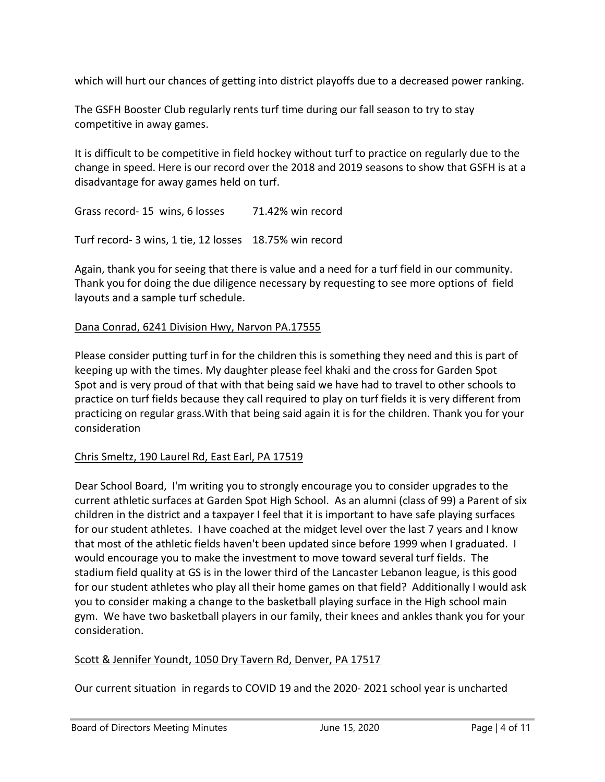which will hurt our chances of getting into district playoffs due to a decreased power ranking.

The GSFH Booster Club regularly rents turf time during our fall season to try to stay competitive in away games.

It is difficult to be competitive in field hockey without turf to practice on regularly due to the change in speed. Here is our record over the 2018 and 2019 seasons to show that GSFH is at a disadvantage for away games held on turf.

Grass record- 15 wins, 6 losses 71.42% win record Turf record- 3 wins, 1 tie, 12 losses 18.75% win record

Again, thank you for seeing that there is value and a need for a turf field in our community. Thank you for doing the due diligence necessary by requesting to see more options of field layouts and a sample turf schedule.

#### Dana Conrad, 6241 Division Hwy, Narvon PA.17555

Please consider putting turf in for the children this is something they need and this is part of keeping up with the times. My daughter please feel khaki and the cross for Garden Spot Spot and is very proud of that with that being said we have had to travel to other schools to practice on turf fields because they call required to play on turf fields it is very different from practicing on regular grass.With that being said again it is for the children. Thank you for your consideration

#### Chris Smeltz, 190 Laurel Rd, East Earl, PA 17519

Dear School Board, I'm writing you to strongly encourage you to consider upgrades to the current athletic surfaces at Garden Spot High School. As an alumni (class of 99) a Parent of six children in the district and a taxpayer I feel that it is important to have safe playing surfaces for our student athletes. I have coached at the midget level over the last 7 years and I know that most of the athletic fields haven't been updated since before 1999 when I graduated. I would encourage you to make the investment to move toward several turf fields. The stadium field quality at GS is in the lower third of the Lancaster Lebanon league, is this good for our student athletes who play all their home games on that field? Additionally I would ask you to consider making a change to the basketball playing surface in the High school main gym. We have two basketball players in our family, their knees and ankles thank you for your consideration.

#### Scott & Jennifer Youndt, 1050 Dry Tavern Rd, Denver, PA 17517

Our current situation in regards to COVID 19 and the 2020- 2021 school year is uncharted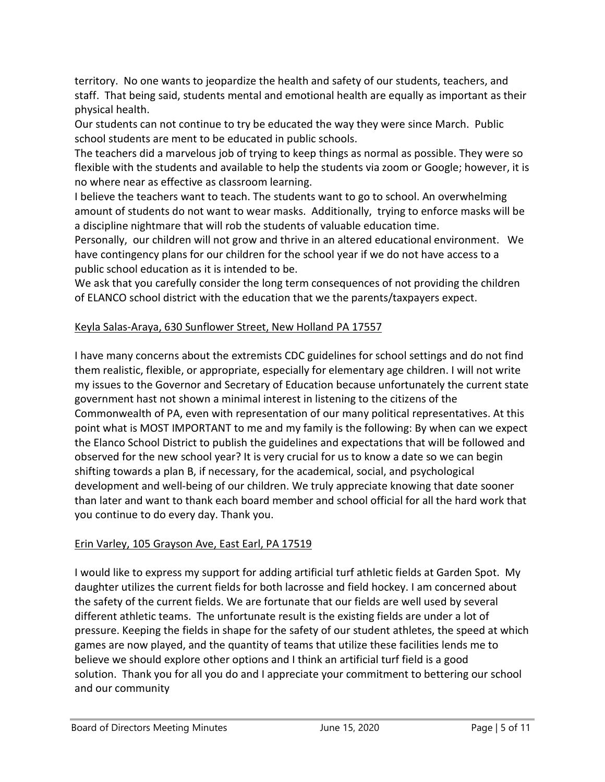territory. No one wants to jeopardize the health and safety of our students, teachers, and staff. That being said, students mental and emotional health are equally as important as their physical health.

Our students can not continue to try be educated the way they were since March. Public school students are ment to be educated in public schools.

The teachers did a marvelous job of trying to keep things as normal as possible. They were so flexible with the students and available to help the students via zoom or Google; however, it is no where near as effective as classroom learning.

I believe the teachers want to teach. The students want to go to school. An overwhelming amount of students do not want to wear masks. Additionally, trying to enforce masks will be a discipline nightmare that will rob the students of valuable education time.

Personally, our children will not grow and thrive in an altered educational environment. We have contingency plans for our children for the school year if we do not have access to a public school education as it is intended to be.

We ask that you carefully consider the long term consequences of not providing the children of ELANCO school district with the education that we the parents/taxpayers expect.

#### Keyla Salas-Araya, 630 Sunflower Street, New Holland PA 17557

I have many concerns about the extremists CDC guidelines for school settings and do not find them realistic, flexible, or appropriate, especially for elementary age children. I will not write my issues to the Governor and Secretary of Education because unfortunately the current state government hast not shown a minimal interest in listening to the citizens of the Commonwealth of PA, even with representation of our many political representatives. At this point what is MOST IMPORTANT to me and my family is the following: By when can we expect the Elanco School District to publish the guidelines and expectations that will be followed and observed for the new school year? It is very crucial for us to know a date so we can begin shifting towards a plan B, if necessary, for the academical, social, and psychological development and well-being of our children. We truly appreciate knowing that date sooner than later and want to thank each board member and school official for all the hard work that you continue to do every day. Thank you.

#### Erin Varley, 105 Grayson Ave, East Earl, PA 17519

I would like to express my support for adding artificial turf athletic fields at Garden Spot. My daughter utilizes the current fields for both lacrosse and field hockey. I am concerned about the safety of the current fields. We are fortunate that our fields are well used by several different athletic teams. The unfortunate result is the existing fields are under a lot of pressure. Keeping the fields in shape for the safety of our student athletes, the speed at which games are now played, and the quantity of teams that utilize these facilities lends me to believe we should explore other options and I think an artificial turf field is a good solution. Thank you for all you do and I appreciate your commitment to bettering our school and our community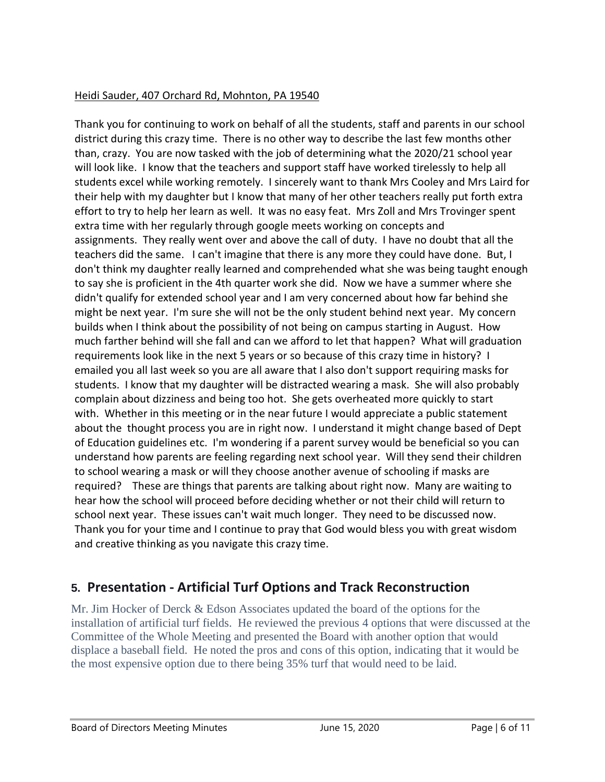#### Heidi Sauder, 407 Orchard Rd, Mohnton, PA 19540

Thank you for continuing to work on behalf of all the students, staff and parents in our school district during this crazy time. There is no other way to describe the last few months other than, crazy. You are now tasked with the job of determining what the 2020/21 school year will look like. I know that the teachers and support staff have worked tirelessly to help all students excel while working remotely. I sincerely want to thank Mrs Cooley and Mrs Laird for their help with my daughter but I know that many of her other teachers really put forth extra effort to try to help her learn as well. It was no easy feat. Mrs Zoll and Mrs Trovinger spent extra time with her regularly through google meets working on concepts and assignments. They really went over and above the call of duty. I have no doubt that all the teachers did the same. I can't imagine that there is any more they could have done. But, I don't think my daughter really learned and comprehended what she was being taught enough to say she is proficient in the 4th quarter work she did. Now we have a summer where she didn't qualify for extended school year and I am very concerned about how far behind she might be next year. I'm sure she will not be the only student behind next year. My concern builds when I think about the possibility of not being on campus starting in August. How much farther behind will she fall and can we afford to let that happen? What will graduation requirements look like in the next 5 years or so because of this crazy time in history? I emailed you all last week so you are all aware that I also don't support requiring masks for students. I know that my daughter will be distracted wearing a mask. She will also probably complain about dizziness and being too hot. She gets overheated more quickly to start with. Whether in this meeting or in the near future I would appreciate a public statement about the thought process you are in right now. I understand it might change based of Dept of Education guidelines etc. I'm wondering if a parent survey would be beneficial so you can understand how parents are feeling regarding next school year. Will they send their children to school wearing a mask or will they choose another avenue of schooling if masks are required? These are things that parents are talking about right now. Many are waiting to hear how the school will proceed before deciding whether or not their child will return to school next year. These issues can't wait much longer. They need to be discussed now. Thank you for your time and I continue to pray that God would bless you with great wisdom and creative thinking as you navigate this crazy time.

# **5. Presentation - Artificial Turf Options and Track Reconstruction**

Mr. Jim Hocker of Derck & Edson Associates updated the board of the options for the installation of artificial turf fields. He reviewed the previous 4 options that were discussed at the Committee of the Whole Meeting and presented the Board with another option that would displace a baseball field. He noted the pros and cons of this option, indicating that it would be the most expensive option due to there being 35% turf that would need to be laid.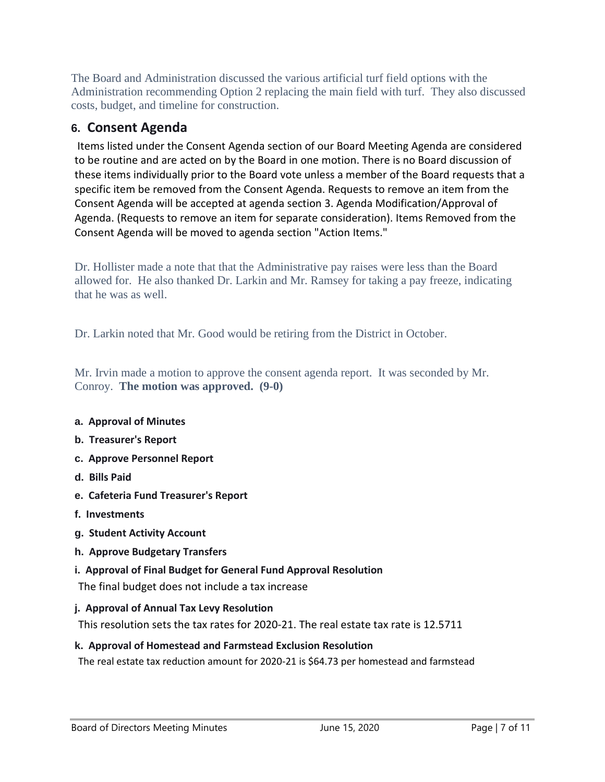The Board and Administration discussed the various artificial turf field options with the Administration recommending Option 2 replacing the main field with turf. They also discussed costs, budget, and timeline for construction.

### **6. Consent Agenda**

Items listed under the Consent Agenda section of our Board Meeting Agenda are considered to be routine and are acted on by the Board in one motion. There is no Board discussion of these items individually prior to the Board vote unless a member of the Board requests that a specific item be removed from the Consent Agenda. Requests to remove an item from the Consent Agenda will be accepted at agenda section 3. Agenda Modification/Approval of Agenda. (Requests to remove an item for separate consideration). Items Removed from the Consent Agenda will be moved to agenda section "Action Items."

Dr. Hollister made a note that that the Administrative pay raises were less than the Board allowed for. He also thanked Dr. Larkin and Mr. Ramsey for taking a pay freeze, indicating that he was as well.

Dr. Larkin noted that Mr. Good would be retiring from the District in October.

Mr. Irvin made a motion to approve the consent agenda report. It was seconded by Mr. Conroy. **The motion was approved. (9-0)**

#### **a. Approval of Minutes**

- **b. Treasurer's Report**
- **c. Approve Personnel Report**
- **d. Bills Paid**
- **e. Cafeteria Fund Treasurer's Report**
- **f. Investments**
- **g. Student Activity Account**
- **h. Approve Budgetary Transfers**
- **i. Approval of Final Budget for General Fund Approval Resolution**

The final budget does not include a tax increase

#### **j. Approval of Annual Tax Levy Resolution**

This resolution sets the tax rates for 2020-21. The real estate tax rate is 12.5711

#### **k. Approval of Homestead and Farmstead Exclusion Resolution**

The real estate tax reduction amount for 2020-21 is \$64.73 per homestead and farmstead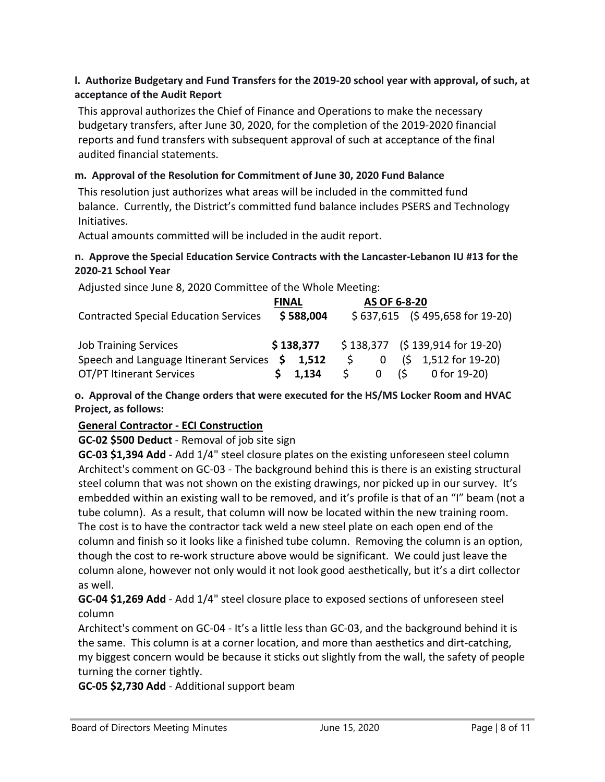#### **l. Authorize Budgetary and Fund Transfers for the 2019-20 school year with approval, of such, at acceptance of the Audit Report**

This approval authorizes the Chief of Finance and Operations to make the necessary budgetary transfers, after June 30, 2020, for the completion of the 2019-2020 financial reports and fund transfers with subsequent approval of such at acceptance of the final audited financial statements.

#### **m. Approval of the Resolution for Commitment of June 30, 2020 Fund Balance**

This resolution just authorizes what areas will be included in the committed fund balance. Currently, the District's committed fund balance includes PSERS and Technology Initiatives.

Actual amounts committed will be included in the audit report.

#### **n. Approve the Special Education Service Contracts with the Lancaster-Lebanon IU #13 for the 2020-21 School Year**

Adjusted since June 8, 2020 Committee of the Whole Meeting:

|                                                 | <b>FINAL</b> |                 | AS OF 6-8-20 |      |  |                                  |
|-------------------------------------------------|--------------|-----------------|--------------|------|--|----------------------------------|
| <b>Contracted Special Education Services</b>    |              | \$588,004       |              |      |  | $$637,615$ (\$495,658 for 19-20) |
|                                                 |              |                 |              |      |  |                                  |
| <b>Job Training Services</b>                    |              | \$138,377       |              |      |  | $$138,377$ (\$139,914 for 19-20) |
| Speech and Language Itinerant Services \$ 1,512 |              |                 |              | 0    |  | $(5 \t1.512$ for 19-20)          |
| OT/PT Itinerant Services                        |              | $5 \quad 1.134$ | S.           | 0(\$ |  | 0 for 19-20)                     |

**o. Approval of the Change orders that were executed for the HS/MS Locker Room and HVAC Project, as follows:**

#### **General Contractor - ECI Construction**

#### **GC-02 \$500 Deduct** - Removal of job site sign

**GC-03 \$1,394 Add** - Add 1/4" steel closure plates on the existing unforeseen steel column Architect's comment on GC-03 - The background behind this is there is an existing structural steel column that was not shown on the existing drawings, nor picked up in our survey. It's embedded within an existing wall to be removed, and it's profile is that of an "I" beam (not a tube column). As a result, that column will now be located within the new training room. The cost is to have the contractor tack weld a new steel plate on each open end of the column and finish so it looks like a finished tube column. Removing the column is an option, though the cost to re-work structure above would be significant. We could just leave the column alone, however not only would it not look good aesthetically, but it's a dirt collector as well.

**GC-04 \$1,269 Add** - Add 1/4" steel closure place to exposed sections of unforeseen steel column

Architect's comment on GC-04 - It's a little less than GC-03, and the background behind it is the same. This column is at a corner location, and more than aesthetics and dirt-catching, my biggest concern would be because it sticks out slightly from the wall, the safety of people turning the corner tightly.

**GC-05 \$2,730 Add** - Additional support beam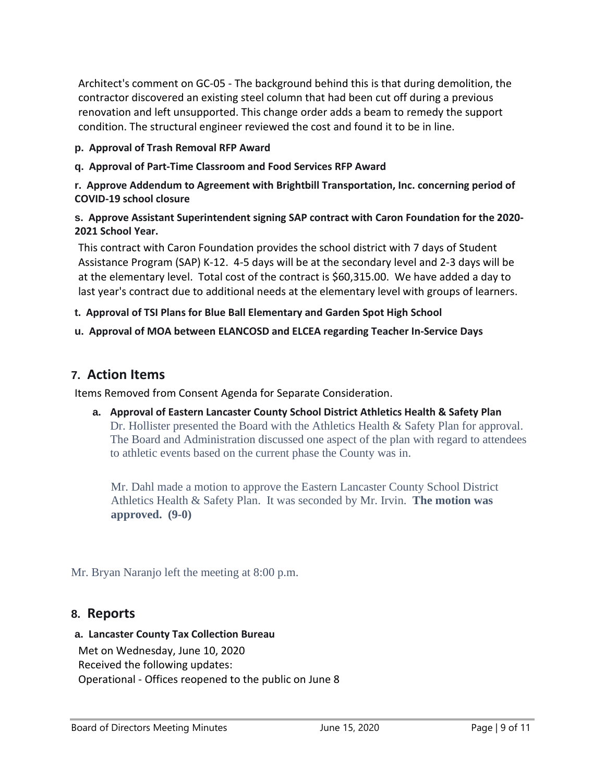Architect's comment on GC-05 - The background behind this is that during demolition, the contractor discovered an existing steel column that had been cut off during a previous renovation and left unsupported. This change order adds a beam to remedy the support condition. The structural engineer reviewed the cost and found it to be in line.

#### **p. Approval of Trash Removal RFP Award**

**q. Approval of Part-Time Classroom and Food Services RFP Award**

**r. Approve Addendum to Agreement with Brightbill Transportation, Inc. concerning period of COVID-19 school closure**

#### **s. Approve Assistant Superintendent signing SAP contract with Caron Foundation for the 2020- 2021 School Year.**

This contract with Caron Foundation provides the school district with 7 days of Student Assistance Program (SAP) K-12. 4-5 days will be at the secondary level and 2-3 days will be at the elementary level. Total cost of the contract is \$60,315.00. We have added a day to last year's contract due to additional needs at the elementary level with groups of learners.

#### **t. Approval of TSI Plans for Blue Ball Elementary and Garden Spot High School**

#### **u. Approval of MOA between ELANCOSD and ELCEA regarding Teacher In-Service Days**

#### **7. Action Items**

Items Removed from Consent Agenda for Separate Consideration.

**a. Approval of Eastern Lancaster County School District Athletics Health & Safety Plan** Dr. Hollister presented the Board with the Athletics Health & Safety Plan for approval. The Board and Administration discussed one aspect of the plan with regard to attendees to athletic events based on the current phase the County was in.

Mr. Dahl made a motion to approve the Eastern Lancaster County School District Athletics Health & Safety Plan. It was seconded by Mr. Irvin. **The motion was approved. (9-0)**

Mr. Bryan Naranjo left the meeting at 8:00 p.m.

#### **8. Reports**

#### **a. Lancaster County Tax Collection Bureau**

Met on Wednesday, June 10, 2020 Received the following updates: Operational - Offices reopened to the public on June 8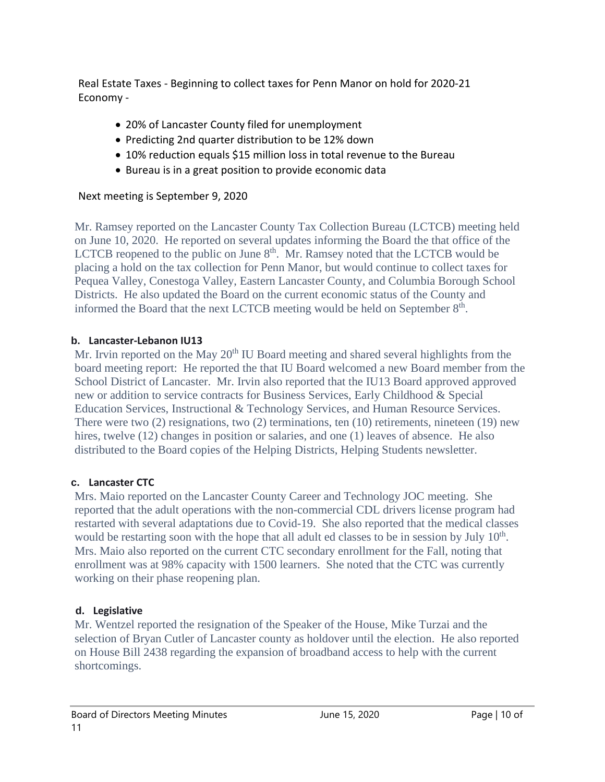Real Estate Taxes - Beginning to collect taxes for Penn Manor on hold for 2020-21 Economy -

- 20% of Lancaster County filed for unemployment
- Predicting 2nd quarter distribution to be 12% down
- 10% reduction equals \$15 million loss in total revenue to the Bureau
- Bureau is in a great position to provide economic data

#### Next meeting is September 9, 2020

Mr. Ramsey reported on the Lancaster County Tax Collection Bureau (LCTCB) meeting held on June 10, 2020. He reported on several updates informing the Board the that office of the LCTCB reopened to the public on June  $8<sup>th</sup>$ . Mr. Ramsey noted that the LCTCB would be placing a hold on the tax collection for Penn Manor, but would continue to collect taxes for Pequea Valley, Conestoga Valley, Eastern Lancaster County, and Columbia Borough School Districts. He also updated the Board on the current economic status of the County and informed the Board that the next LCTCB meeting would be held on September  $8<sup>th</sup>$ .

#### **b. Lancaster-Lebanon IU13**

Mr. Irvin reported on the May  $20<sup>th</sup>$  IU Board meeting and shared several highlights from the board meeting report: He reported the that IU Board welcomed a new Board member from the School District of Lancaster. Mr. Irvin also reported that the IU13 Board approved approved new or addition to service contracts for Business Services, Early Childhood & Special Education Services, Instructional & Technology Services, and Human Resource Services. There were two (2) resignations, two (2) terminations, ten (10) retirements, nineteen (19) new hires, twelve (12) changes in position or salaries, and one (1) leaves of absence. He also distributed to the Board copies of the Helping Districts, Helping Students newsletter.

#### **c. Lancaster CTC**

Mrs. Maio reported on the Lancaster County Career and Technology JOC meeting. She reported that the adult operations with the non-commercial CDL drivers license program had restarted with several adaptations due to Covid-19. She also reported that the medical classes would be restarting soon with the hope that all adult ed classes to be in session by July 10<sup>th</sup>. Mrs. Maio also reported on the current CTC secondary enrollment for the Fall, noting that enrollment was at 98% capacity with 1500 learners. She noted that the CTC was currently working on their phase reopening plan.

#### **d. Legislative**

Mr. Wentzel reported the resignation of the Speaker of the House, Mike Turzai and the selection of Bryan Cutler of Lancaster county as holdover until the election. He also reported on House Bill 2438 regarding the expansion of broadband access to help with the current shortcomings.